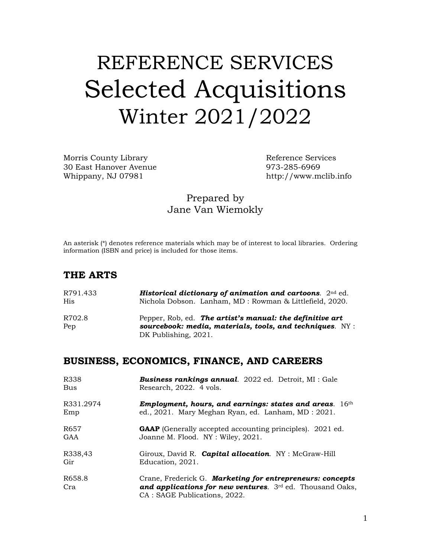# REFERENCE SERVICES Selected Acquisitions Winter 2021/2022

Morris County Library Neter and Services Reference Services 30 East Hanover Avenue 973-285-6969 Whippany, NJ 07981 http://www.mclib.info

#### Prepared by Jane Van Wiemokly

An asterisk (\*) denotes reference materials which may be of interest to local libraries. Ordering information (ISBN and price) is included for those items.

#### **THE ARTS**

| R791.433 | <b>Historical dictionary of animation and cartoons.</b> $2nd$ ed. |
|----------|-------------------------------------------------------------------|
| His.     | Nichola Dobson. Lanham, MD: Rowman & Littlefield, 2020.           |
| R702.8   | Pepper, Rob, ed. The artist's manual: the definitive art          |
| Pep      | sourcebook: media, materials, tools, and techniques. $NY$ :       |
|          | DK Publishing, 2021.                                              |

#### **BUSINESS, ECONOMICS, FINANCE, AND CAREERS**

| R338          | <b>Business rankings annual.</b> 2022 ed. Detroit, MI : Gale                                                                                              |
|---------------|-----------------------------------------------------------------------------------------------------------------------------------------------------------|
| Bus           | Research, 2022. 4 vols.                                                                                                                                   |
| R331.2974     | Employment, hours, and earnings: states and areas. $16th$                                                                                                 |
| Emp           | ed., 2021. Mary Meghan Ryan, ed. Lanham, MD: 2021.                                                                                                        |
| R657          | <b>GAAP</b> (Generally accepted accounting principles). 2021 ed.                                                                                          |
| GAA           | Joanne M. Flood. NY: Wiley, 2021.                                                                                                                         |
| R338,43       | Giroux, David R. Capital allocation. NY: McGraw-Hill                                                                                                      |
| Gir           | Education, 2021.                                                                                                                                          |
| R658.8<br>Cra | Crane, Frederick G. Marketing for entrepreneurs: concepts<br>and applications for new ventures. $3rd$ ed. Thousand Oaks,<br>CA : SAGE Publications, 2022. |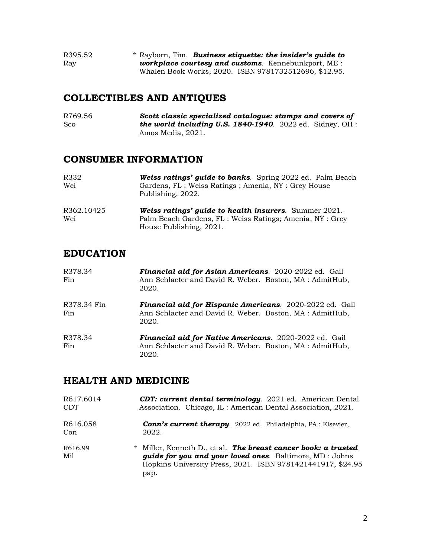| R395.52 | * Rayborn, Tim. Business etiquette: the insider's quide to |
|---------|------------------------------------------------------------|
| Ray     | <b>workplace courtesy and customs.</b> Kennebunkport, ME : |
|         | Whalen Book Works, 2020. ISBN 9781732512696, \$12.95.      |

# **COLLECTIBLES AND ANTIQUES**

R769.56 *Scott classic specialized catalogue: stamps and covers of* Sco **the world including U.S. 1840-1940**. 2022 ed. Sidney, OH : Amos Media, 2021.

#### **CONSUMER INFORMATION**

| R332<br>Wei                    | <b>Weiss ratings' guide to banks.</b> Spring 2022 ed. Palm Beach<br>Gardens, FL : Weiss Ratings ; Amenia, NY : Grey House<br>Publishing, 2022.       |
|--------------------------------|------------------------------------------------------------------------------------------------------------------------------------------------------|
| R <sub>362</sub> .10425<br>Wei | <b>Weiss ratings' guide to health insurers.</b> Summer 2021.<br>Palm Beach Gardens, FL : Weiss Ratings; Amenia, NY : Grey<br>House Publishing, 2021. |

# **EDUCATION**

| R378.34<br>Fin     | Financial aid for Asian Americans. 2020-2022 ed. Gail<br>Ann Schlacter and David R. Weber. Boston, MA: AdmitHub,<br>2020.           |
|--------------------|-------------------------------------------------------------------------------------------------------------------------------------|
| R378.34 Fin<br>Fin | <b>Financial aid for Hispanic Americans.</b> 2020-2022 ed. Gail<br>Ann Schlacter and David R. Weber. Boston, MA: AdmitHub,<br>2020. |
| R378.34<br>Fin     | Financial aid for Native Americans. 2020-2022 ed. Gail<br>Ann Schlacter and David R. Weber. Boston, MA : AdmitHub,<br>2020.         |

#### **HEALTH AND MEDICINE**

| R617.6014                  | <b>CDT: current dental terminology.</b> 2021 ed. American Dental                                                                                                                                  |
|----------------------------|---------------------------------------------------------------------------------------------------------------------------------------------------------------------------------------------------|
| <b>CDT</b>                 | Association. Chicago, IL: American Dental Association, 2021.                                                                                                                                      |
| R616.058                   | <b>Conn's current therapy.</b> 2022 ed. Philadelphia, PA : Elsevier,                                                                                                                              |
| Con                        | 2022.                                                                                                                                                                                             |
| R <sub>616.99</sub><br>Mil | * Miller, Kenneth D., et al. The breast cancer book: a trusted<br>guide for you and your loved ones. Baltimore, MD : Johns<br>Hopkins University Press, 2021. ISBN 9781421441917, \$24.95<br>pap. |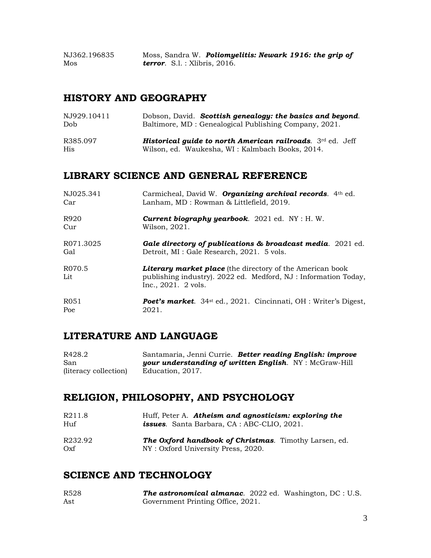NJ362.196835 Moss, Sandra W. *Poliomyelitis: Newark 1916: the grip of* Mos *terror*. S.l. : Xlibris, 2016.

#### **HISTORY AND GEOGRAPHY**

| NJ929.10411 | Dobson, David. Scottish genealogy: the basics and beyond.              |
|-------------|------------------------------------------------------------------------|
| Dob.        | Baltimore, MD : Genealogical Publishing Company, 2021.                 |
| R385.097    | <b>Historical quide to north American railroads.</b> $3^{rd}$ ed. Jeff |
| <b>His</b>  | Wilson, ed. Waukesha, WI: Kalmbach Books, 2014.                        |

### **LIBRARY SCIENCE AND GENERAL REFERENCE**

| NJ025.341        | Carmicheal, David W. <b>Organizing archival records</b> . $4th$ ed.                                                                                       |
|------------------|-----------------------------------------------------------------------------------------------------------------------------------------------------------|
| Car              | Lanham, MD : Rowman & Littlefield, 2019.                                                                                                                  |
| R920             | <b>Current biography yearbook.</b> 2021 ed. $NY : H. W$ .                                                                                                 |
| Cur              | Wilson, 2021.                                                                                                                                             |
| R071.3025        | <b>Gale directory of publications &amp; broadcast media.</b> 2021 ed.                                                                                     |
| Gal              | Detroit, MI : Gale Research, 2021. 5 vols.                                                                                                                |
| R070.5<br>Lit    | <b>Literary market place</b> (the directory of the American book<br>publishing industry). 2022 ed. Medford, NJ: Information Today,<br>Inc., 2021. 2 vols. |
| R <sub>051</sub> | <b>Poet's market.</b> 34 <sup>st</sup> ed., 2021. Cincinnati, OH : Writer's Digest,                                                                       |
| Poe              | 2021.                                                                                                                                                     |

#### **LITERATURE AND LANGUAGE**

| R428.2                | Santamaria, Jenni Currie. Better reading English: improve     |  |
|-----------------------|---------------------------------------------------------------|--|
| San                   | <b>your understanding of written English.</b> NY: McGraw-Hill |  |
| (literacy collection) | Education, 2017.                                              |  |

## **RELIGION, PHILOSOPHY, AND PSYCHOLOGY**

| R211.8         | Huff, Peter A. Atheism and agnosticism: exploring the        |
|----------------|--------------------------------------------------------------|
| H <sub>U</sub> | <b>issues.</b> Santa Barbara, CA : ABC-CLIO, 2021.           |
| R232.92        | <b>The Oxford handbook of Christmas.</b> Timothy Larsen, ed. |
| Oxf            | NY: Oxford University Press, 2020.                           |

#### **SCIENCE AND TECHNOLOGY**

| R <sub>528</sub> | <b>The astronomical almanac.</b> 2022 ed. Washington, DC : U.S. |  |  |
|------------------|-----------------------------------------------------------------|--|--|
| Ast              | Government Printing Office, 2021.                               |  |  |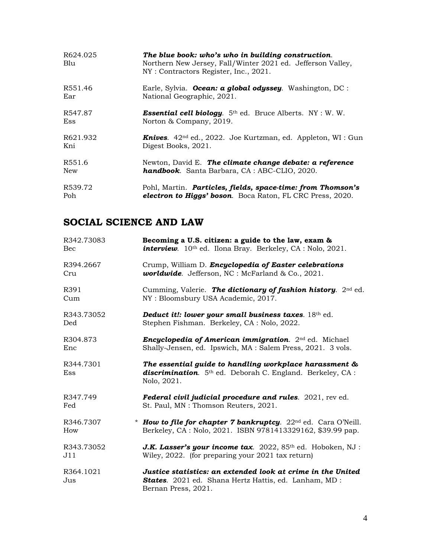| R624.025<br>Blu | The blue book: who's who in building construction.<br>Northern New Jersey, Fall/Winter 2021 ed. Jefferson Valley,<br>NY: Contractors Register, Inc., 2021. |
|-----------------|------------------------------------------------------------------------------------------------------------------------------------------------------------|
| R551.46         | Earle, Sylvia. <b>Ocean: a global odyssey</b> . Washington, DC:                                                                                            |
| Ear             | National Geographic, 2021.                                                                                                                                 |
| R547.87         | <b>Essential cell biology.</b> $5th$ ed. Bruce Alberts. NY : W. W.                                                                                         |
| Ess             | Norton & Company, 2019.                                                                                                                                    |
| R621.932        | <b>Knives.</b> $42^{nd}$ ed., $2022$ . Joe Kurtzman, ed. Appleton, WI: Gun                                                                                 |
| Kni             | Digest Books, 2021.                                                                                                                                        |
| R551.6          | Newton, David E. The climate change debate: a reference                                                                                                    |
| New             | <b>handbook.</b> Santa Barbara, CA: ABC-CLIO, 2020.                                                                                                        |
| R539.72         | Pohl, Martin. Particles, fields, space-time: from Thomson's                                                                                                |
| Poh             | <b>electron to Higgs' boson.</b> Boca Raton, FL CRC Press, 2020.                                                                                           |

# **SOCIAL SCIENCE AND LAW**

| R342.73083       | Becoming a U.S. citizen: a guide to the law, exam &                                                                                                   |
|------------------|-------------------------------------------------------------------------------------------------------------------------------------------------------|
| Bec              | <i>interview.</i> $10th$ ed. Ilona Bray. Berkeley, CA : Nolo, 2021.                                                                                   |
| R394.2667        | Crump, William D. Encyclopedia of Easter celebrations                                                                                                 |
| Cru              | worldwide. Jefferson, NC : McFarland & Co., 2021.                                                                                                     |
| R391             | Cumming, Valerie. The dictionary of fashion history. $2nd$ ed.                                                                                        |
| Cum              | NY: Bloomsbury USA Academic, 2017.                                                                                                                    |
| R343.73052       | Deduct it!: lower your small business taxes. 18th ed.                                                                                                 |
| Ded              | Stephen Fishman. Berkeley, CA: Nolo, 2022.                                                                                                            |
| R304.873         | <b>Encyclopedia of American immigration.</b> 2 <sup>nd</sup> ed. Michael                                                                              |
| Enc              | Shally-Jensen, ed. Ipswich, MA: Salem Press, 2021. 3 vols.                                                                                            |
| R344.7301<br>Ess | The essential guide to handling workplace harassment &<br><b>discrimination.</b> 5 <sup>th</sup> ed. Deborah C. England. Berkeley, CA:<br>Nolo, 2021. |
| R347.749         | <b>Federal civil judicial procedure and rules.</b> 2021, rev ed.                                                                                      |
| Fed              | St. Paul, MN: Thomson Reuters, 2021.                                                                                                                  |
| R346.7307        | * How to file for chapter 7 bankruptcy. $22nd$ ed. Cara O'Neill.                                                                                      |
| How              | Berkeley, CA: Nolo, 2021. ISBN 9781413329162, \$39.99 pap.                                                                                            |
| R343.73052       | <b>J.K. Lasser's your income tax.</b> 2022, 85 <sup>th</sup> ed. Hoboken, NJ :                                                                        |
| J11              | Wiley, 2022. (for preparing your 2021 tax return)                                                                                                     |
| R364.1021<br>Jus | Justice statistics: an extended look at crime in the United<br>States. 2021 ed. Shana Hertz Hattis, ed. Lanham, MD :<br>Bernan Press, 2021.           |